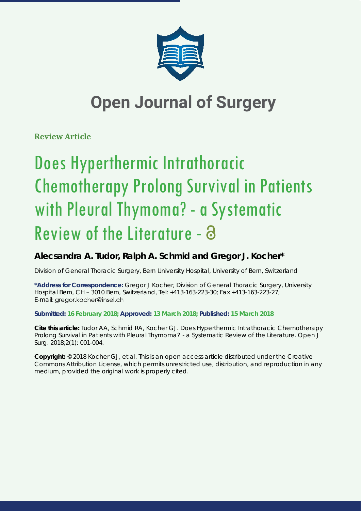

## **Open Journal of Surgery**

**Review Article**

# Does Hyperthermic Intrathoracic Chemotherapy Prolong Survival in Patients with Pleural Thymoma? - a Systematic Review of the Literature - a

### **Alecsandra A. Tudor, Ralph A. Schmid and Gregor J. Kocher\***

Division of General Thoracic Surgery, Bern University Hospital, University of Bern, Switzerland

**\*Address for Correspondence:** Gregor J Kocher, Division of General Thoracic Surgery, University Hospital Bern, CH – 3010 Bern, Switzerland, Tel: +413-163-223-30; Fax +413-163-223-27; E-mail: gregor.kocher@insel.ch

**Submitted: 16 February 2018; Approved: 13 March 2018; Published: 15 March 2018**

**Cite this article:** Tudor AA, Schmid RA, Kocher GJ. Does Hyperthermic Intrathoracic Chemotherapy Prolong Survival in Patients with Pleural Thymoma? - a Systematic Review of the Literature. Open J Surg. 2018;2(1): 001-004.

**Copyright:** © 2018 Kocher GJ, et al. This is an open access article distributed under the Creative Commons Attribution License, which permits unrestricted use, distribution, and reproduction in any medium, provided the original work is properly cited.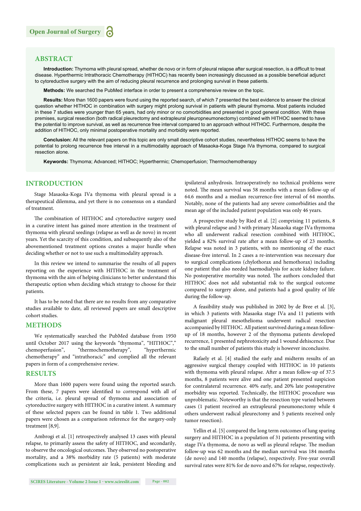#### **ABSTRACT**

Introduction: Thymoma with pleural spread, whether de novo or in form of pleural relapse after surgical resection, is a difficult to treat disease. Hyperthermic Intrathoracic Chemotherapy (HITHOC) has recently been increasingly discussed as a possible beneficial adjunct to cytoreductive surgery with the aim of reducing pleural recurrence and prolonging survival in these patients.

**Methods:** We searched the PubMed interface in order to present a comprehensive review on the topic.

**Results:** More than 1600 papers were found using the reported search, of which 7 presented the best evidence to answer the clinical question whether HITHOC in combination with surgery might prolong survival in patients with pleural thymoma. Most patients included in these 7 studies were younger than 65 years, had only minor or no comorbidities and presented in good general condition. With these premises, surgical resection (both radical pleurectomy and extrapleural pleuropneumonectomy) combined with HITHOC seemed to have the potential to improve survival, as well as recurrence free interval compared to an approach without HITHOC. Furthermore, despite the addition of HITHOC, only minimal postoperative mortality and morbidity were reported.

**Conclusion:** All the relevant papers on this topic are only small descriptive cohort studies, nevertheless HITHOC seems to have the potential to prolong recurrence free interval in a multimodality approach of Masaoka-Koga Stage IVa thymoma, compared to surgical resection alone.

**Keywords:** Thymoma; Advanced; HITHOC; Hyperthermic; Chemoperfusion; Thermochemotherapy

#### **INTRODUCTION**

Stage Masaoka-Koga IVa thymoma with pleural spread is a therapeutical dilemma, and yet there is no consensus on a standard of treatment.

The combination of HITHOC and cytoreductive surgery used in a curative intent has gained more attention in the treatment of thymoma with pleural seedings (relapse as well as de novo) in recent years. Yet the scarcity of this condition, and subsequently also of the abovementioned treatment options creates a major hurdle when deciding whether or not to use such a multimodality approach.

In this review we intend to summarise the results of all papers reporting on the experience with HITHOC in the treatment of thymoma with the aim of helping clinicians to better understand this therapeutic option when deciding which strategy to choose for their patients.

It has to be noted that there are no results from any comparative studies available to date, all reviewed papers are small descriptive cohort studies.

#### **METHODS**

We systematically searched the PubMed database from 1950 until October 2017 using the keywords "thymoma", "HITHOC"," chemoperfusion", "thermochemotherapy", "hyperthermic chemotherapy" and "intrathoracic" and complied all the relevant papers in form of a comprehensive review.

#### **RESULTS**

More than 1600 papers were found using the reported search. From these, 7 papers were identified to correspond with all of the criteria, i.e. pleural spread of thymoma and association of cytoreductive surgery with HITHOC in a curative intent. A summary of these selected papers can be found in table 1. Two additional papers were chosen as a comparison reference for the surgery-only treatment [8,9].

Ambrogi et al. [1] retrospectively analysed 13 cases with pleural relapse, to primarily assess the safety of HITHOC, and secondarily, to observe the oncological outcomes. They observed no postoperative mortality, and a 38% morbidity rate (5 patients) with moderate complications such as persistent air leak, persistent bleeding and ipsilateral anhydrosis. Intraoperatively no technical problems were noted. The mean survival was 58 months with a mean follow-up of 64.6 months and a median recurrence-free interval of 64 months. Notably, none of the patients had any severe comorbidities and the mean age of the included patient population was only 46 years.

A prospective study by Ried et al. [2] comprising 11 patients, 8 with pleural relapse and 3 with primary Masaoka stage IVa thymoma who all underwent radical resection combined with HITHOC, yielded a 82% survival rate after a mean follow-up of 23 months. Relapse was noted in 3 patients, with no mentioning of the exact disease-free interval. In 2 cases a re-intervention was necessary due to surgical complications (chylothorax and hemothorax) including one patient that also needed haemodialysis for acute kidney failure. No postoperative mortality was noted. The authors concluded that HITHOC does not add substantial risk to the surgical outcome compared to surgery alone, and patients had a good quality of life during the follow-up.

A feasibility study was published in 2002 by de Bree et al. [3], in which 3 patients with Masaoka stage IVa and 11 patients with malignant pleural mesothelioma underwent radical resection accompanied by HITHOC. All patient survived during a mean followup of 18 months, however 2 of the thymoma patients developed recurrence, 1 presented nephrotoxicity and 1 wound dehiscence. Due to the small number of patients this study is however inconclusive.

Rafaely et al. [4] studied the early and midterm results of an aggressive surgical therapy coupled with HITHOC in 10 patients with thymoma with pleural relapse. After a mean follow-up of 37.5 months, 8 patients were alive and one patient presented suspicion for contralateral recurrence. 40% early, and 20% late postoperative morbidity was reported. Technically, the HITHOC procedure was unproblematic. Noteworthy is that the resection type varied between cases (1 patient received an extrapleural pneumonectomy while 4 others underwent radical pleurectomy and 5 patients received only tumor resection).

Yellin et al. [5] compared the long term outcomes of lung sparing surgery and HITHOC in a population of 31 patients presenting with stage IVa thymoma, de novo as well as pleural relapse. The median follow-up was 62 months and the median survival was 184 months (de novo) and 140 months (relapse), respectively. Five-year overall survival rates were 81% for de novo and 67% for relapse, respectively.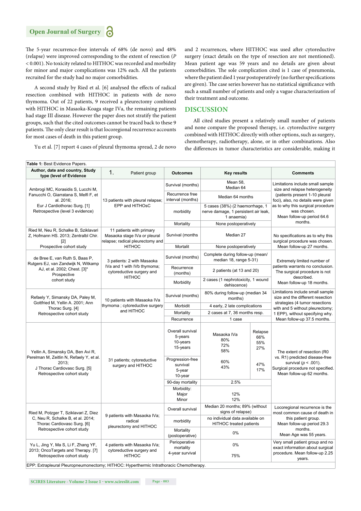The 5-year recurrence-free intervals of 68% (de novo) and 48% (relapse) were improved corresponding to the extent of resection (*P*  < 0.001). No toxicity related to HITHOC was recorded and morbidity for minor and major complications was 12% each. All the patients recruited for the study had no major comorbidities.

A second study by Ried et al. [6] analysed the effects of radical resection combined with HITHOC in patients with de novo thymoma. Out of 22 patients, 9 received a pleurectomy combined with HITHOC in Masaoka-Koaga stage IVa, the remaining patients had stage III disease. However the paper does not stratify the patient groups, such that the cited outcomes cannot be traced back to these 9 patients. The only clear result is that locoregional recurrence accounts for most cases of death in this patient group.

Yu et al. [7] report 4 cases of pleural thymoma spread, 2 de novo

and 2 recurrences, where HITHOC was used after cytoreductive surgery (exact details on the type of resection are not mentioned). Mean patient age was 59 years and no details are given about comorbidities. The sole complication cited is 1 case of pneumonia, where the patient died 1 year postoperatively (no further specifications are given). The case series however has no statistical significance with such a small number of patients and only a vague characterization of their treatment and outcome.

#### **DISCUSSION**

All cited studies present a relatively small number of patients and none compare the proposed therapy, i.e. cytoreductive surgery combined with HITHOC directly with other options, such as surgery, chemotherapy, radiotherapy, alone, or in other combinations. Also the differences in tumor characteristics are considerable, making it

| <b>Table 1: Best Evidence Papers.</b>                                                                                                                        |                                                                                                         |                                                     |                                                                                       |                              |                                                                                                                                                                                                             |  |
|--------------------------------------------------------------------------------------------------------------------------------------------------------------|---------------------------------------------------------------------------------------------------------|-----------------------------------------------------|---------------------------------------------------------------------------------------|------------------------------|-------------------------------------------------------------------------------------------------------------------------------------------------------------------------------------------------------------|--|
| Author, date and country, Study<br>type (level of Evidence                                                                                                   | 1.<br>Patient group                                                                                     | <b>Outcomes</b>                                     | <b>Key results</b>                                                                    |                              | <b>Comments</b>                                                                                                                                                                                             |  |
| Ambrogi MC, Korasidis S, Lucchi M,<br>Fanucchi O, Giarratana S, Melfi F, et<br>al. 2016;<br>Eur J Cardiothorac Surg. [1]<br>Retrospective (level 3 evidence) | 13 patients with pleural relapse;<br>EPP and HITHOsC                                                    | Survival (months)                                   | Mean 58,<br>Median 64                                                                 |                              | Limitations include small sample<br>size and relapse heterogeneity                                                                                                                                          |  |
|                                                                                                                                                              |                                                                                                         | Recurrence free<br>interval (months)                | Median 64 months                                                                      |                              | (patients present 1-10 pleural<br>foci), also, no details were given<br>as to why this surgical procedure<br>was chosen.<br>Mean follow-up period 64.6<br>months.                                           |  |
|                                                                                                                                                              |                                                                                                         | morbidity                                           | 5 cases (38%) (2 haemorrhage, 1<br>nerve damage, 1 persistent air leak,<br>1 anaemia) |                              |                                                                                                                                                                                                             |  |
|                                                                                                                                                              |                                                                                                         | Mortality                                           | None postoperatively                                                                  |                              |                                                                                                                                                                                                             |  |
| Ried M, Neu R, Schalke B, Sziklavari<br>Z, Hofmann HS. 2013; Zentralbl Chir.<br>[2]                                                                          | 11 patients with primary<br>Masaoka stage IVa or pleural<br>relapse; radical pleurectomy and            | Survival (months                                    | Median 27                                                                             |                              | No specifications as to why this<br>surgical procedure was chosen.                                                                                                                                          |  |
| Prospective cohort study                                                                                                                                     | <b>HITHOC</b>                                                                                           | Mortalit                                            | None postoperatively                                                                  |                              | Mean follow-up 27 months.                                                                                                                                                                                   |  |
| de Bree E, van Ruth S, Baas P,<br>Rutgers EJ, van Zandwijk N, Witkamp<br>AJ, et al. 2002; Chest. [3]*<br>Prospective<br>cohort study                         | 3 patients: 2 with Masaoka<br>IVa and 1 with IVb thymoma;<br>cytoreductive surgery and<br><b>HITHOC</b> | Survival (months)                                   | Complete during follow-up (mean/<br>median 18, range 5-31)                            |                              | Extremely limited number of<br>patients warrants no conclusion.<br>The surgical procedure is not<br>described.<br>Mean follow-up 18 months.                                                                 |  |
|                                                                                                                                                              |                                                                                                         | Recurrence<br>(months)                              | 2 patients (at 13 and 20)                                                             |                              |                                                                                                                                                                                                             |  |
|                                                                                                                                                              |                                                                                                         | Morbidity                                           | 2 cases (1 nephrotoxicity, 1 wound<br>dehiscence)                                     |                              |                                                                                                                                                                                                             |  |
| Refaely Y, Simansky DA, Paley M,<br>Gottfried M, Yellin A. 2001; Ann<br>Thorac Surg. [4]<br>Retrospective cohort study                                       | 10 patients with Masaoka IVa<br>thymoma; cytoreductive surgery<br>and HITHOC                            | Survival (months)                                   | 80% during follow-up (median 34<br>months)                                            |                              | Limitations include small sample<br>size and the different resection<br>strategies (4 tumor resections<br>with and 5 without pleurectomy;<br>1 EPP), without specifying why.<br>Mean follow-up 37.5 months. |  |
|                                                                                                                                                              |                                                                                                         | Morbidit                                            | 4 early, 2 late complications                                                         |                              |                                                                                                                                                                                                             |  |
|                                                                                                                                                              |                                                                                                         | Mortality                                           | 2 cases at 7, 36 months resp.                                                         |                              |                                                                                                                                                                                                             |  |
|                                                                                                                                                              |                                                                                                         | Recurrence                                          | 1 case                                                                                |                              |                                                                                                                                                                                                             |  |
| Yellin A, Simansky DA, Ben Avi R,<br>Perelman M, Zeitlin N, Refaely Y, et al.<br>2013:<br>J Thorac Cardiovasc Surg. [5]<br>Retrospective cohort study        | 31 patients; cytoreductive<br>surgery and HITHOC                                                        | Overall survival<br>5-years<br>10-years<br>15-years | Masaoka IVa<br>80%<br>72%<br>58%                                                      | Relapse<br>66%<br>55%<br>27% | The extent of resection (R0<br>vs. R1) predicted disease-free<br>survival ( $p < .001$ ).<br>Surgical procedure not specified.<br>Mean follow-up 62 months.                                                 |  |
|                                                                                                                                                              |                                                                                                         | Progression-free<br>survival<br>5-year<br>10-year   | 60%<br>43%                                                                            | 47%<br>17%                   |                                                                                                                                                                                                             |  |
|                                                                                                                                                              |                                                                                                         | 90-day mortality                                    | 2.5%                                                                                  |                              |                                                                                                                                                                                                             |  |
|                                                                                                                                                              |                                                                                                         | Morbidity:<br>Major<br>Minor                        | 12%<br>12%                                                                            |                              |                                                                                                                                                                                                             |  |
| Ried M, Potzger T, Sziklavari Z, Diez<br>C, Neu R, Schalke B, et al. 2014;<br>Thorac Cardiovasc Surg. [6]<br>Retrospective cohort study                      | 9 patients with Masaoka IVa;<br>radical<br>pleurectomy and HITHOC                                       | Overall survival                                    | Median 20 months; 89% (without<br>signs of relapse)                                   |                              | Locoregional recurrence is the<br>most common cause of death in<br>this patient group.<br>Mean follow-up period 29.3<br>months.<br>Mean Age was 55 years.                                                   |  |
|                                                                                                                                                              |                                                                                                         | morbidity                                           | no individual data available on<br>HITHOC treated patients                            |                              |                                                                                                                                                                                                             |  |
|                                                                                                                                                              |                                                                                                         | Mortality<br>(postoperative)                        | 0%                                                                                    |                              |                                                                                                                                                                                                             |  |
| Yu L, Jing Y, Ma S, Li F, Zhang YF,<br>2013; OncoTargets and Therapy. [7]<br>Retrospective cohort study                                                      | 4 patients with Masaoka IVa;<br>cytoreductive surgery and<br><b>HITHOC</b>                              | Perioperative<br>mortality<br>4-year survival       | 0%<br>75%                                                                             |                              | Very small patient group and no<br>exact information about surgical<br>procedure. Mean follow-up 2.25<br>years.                                                                                             |  |
|                                                                                                                                                              |                                                                                                         |                                                     |                                                                                       |                              |                                                                                                                                                                                                             |  |

EPP: Extrapleural Pleuropneumonectomy; HITHOC: Hyperthermic Intrathoracic Chemotherapy.